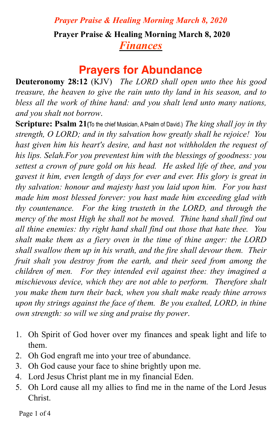## **Prayer Praise & Healing Morning March 8, 2020** *Finances*

## **Prayers for Abundance**

**Deuteronomy 28:12** (KJV) *The LORD shall open unto thee his good treasure, the heaven to give the rain unto thy land in his season, and to bless all the work of thine hand: and you shalt lend unto many nations, and you shalt not borrow*.

**Scripture: Psalm 21(**To the chief Musician, A Psalm of David.) *The king shall joy in thy strength, O LORD; and in thy salvation how greatly shall he rejoice! You hast given him his heart's desire, and hast not withholden the request of his lips. Selah.For you preventest him with the blessings of goodness: you settest a crown of pure gold on his head. He asked life of thee, and you gavest it him, even length of days for ever and ever. His glory is great in thy salvation: honour and majesty hast you laid upon him. For you hast made him most blessed forever: you hast made him exceeding glad with thy countenance. For the king trusteth in the LORD, and through the mercy of the most High he shall not be moved. Thine hand shall find out all thine enemies: thy right hand shall find out those that hate thee. You shalt make them as a fiery oven in the time of thine anger: the LORD shall swallow them up in his wrath, and the fire shall devour them. Their fruit shalt you destroy from the earth, and their seed from among the children of men. For they intended evil against thee: they imagined a mischievous device, which they are not able to perform. Therefore shalt you make them turn their back, when you shalt make ready thine arrows upon thy strings against the face of them. Be you exalted, LORD, in thine own strength: so will we sing and praise thy power*.

- 1. Oh Spirit of God hover over my finances and speak light and life to them.
- 2. Oh God engraft me into your tree of abundance.
- 3. Oh God cause your face to shine brightly upon me.
- 4. Lord Jesus Christ plant me in my financial Eden.
- 5. Oh Lord cause all my allies to find me in the name of the Lord Jesus Christ.

Page 1 of 4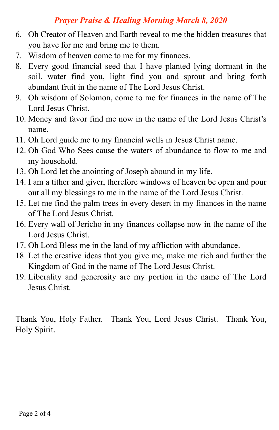- 6. Oh Creator of Heaven and Earth reveal to me the hidden treasures that you have for me and bring me to them.
- 7. Wisdom of heaven come to me for my finances.
- 8. Every good financial seed that I have planted lying dormant in the soil, water find you, light find you and sprout and bring forth abundant fruit in the name of The Lord Jesus Christ.
- 9. Oh wisdom of Solomon, come to me for finances in the name of The Lord Jesus Christ.
- 10. Money and favor find me now in the name of the Lord Jesus Christ's name.
- 11. Oh Lord guide me to my financial wells in Jesus Christ name.
- 12. Oh God Who Sees cause the waters of abundance to flow to me and my household.
- 13. Oh Lord let the anointing of Joseph abound in my life.
- 14. I am a tither and giver, therefore windows of heaven be open and pour out all my blessings to me in the name of the Lord Jesus Christ.
- 15. Let me find the palm trees in every desert in my finances in the name of The Lord Jesus Christ.
- 16. Every wall of Jericho in my finances collapse now in the name of the Lord Jesus Christ.
- 17. Oh Lord Bless me in the land of my affliction with abundance.
- 18. Let the creative ideas that you give me, make me rich and further the Kingdom of God in the name of The Lord Jesus Christ.
- 19. Liberality and generosity are my portion in the name of The Lord Jesus Christ.

Thank You, Holy Father. Thank You, Lord Jesus Christ. Thank You, Holy Spirit.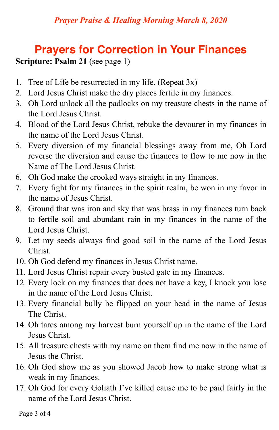# **Prayers for Correction in Your Finances**

#### **Scripture: Psalm 21** (see page 1)

- 1. Tree of Life be resurrected in my life. (Repeat 3x)
- 2. Lord Jesus Christ make the dry places fertile in my finances.
- 3. Oh Lord unlock all the padlocks on my treasure chests in the name of the Lord Jesus Christ.
- 4. Blood of the Lord Jesus Christ, rebuke the devourer in my finances in the name of the Lord Jesus Christ.
- 5. Every diversion of my financial blessings away from me, Oh Lord reverse the diversion and cause the finances to flow to me now in the Name of The Lord Jesus Christ.
- 6. Oh God make the crooked ways straight in my finances.
- 7. Every fight for my finances in the spirit realm, be won in my favor in the name of Jesus Christ.
- 8. Ground that was iron and sky that was brass in my finances turn back to fertile soil and abundant rain in my finances in the name of the Lord Jesus Christ.
- 9. Let my seeds always find good soil in the name of the Lord Jesus Christ.
- 10. Oh God defend my finances in Jesus Christ name.
- 11. Lord Jesus Christ repair every busted gate in my finances.
- 12. Every lock on my finances that does not have a key, I knock you lose in the name of the Lord Jesus Christ.
- 13. Every financial bully be flipped on your head in the name of Jesus The Christ.
- 14. Oh tares among my harvest burn yourself up in the name of the Lord Jesus Christ.
- 15. All treasure chests with my name on them find me now in the name of Jesus the Christ.
- 16. Oh God show me as you showed Jacob how to make strong what is weak in my finances.
- 17. Oh God for every Goliath I've killed cause me to be paid fairly in the name of the Lord Jesus Christ.

Page 3 of 4